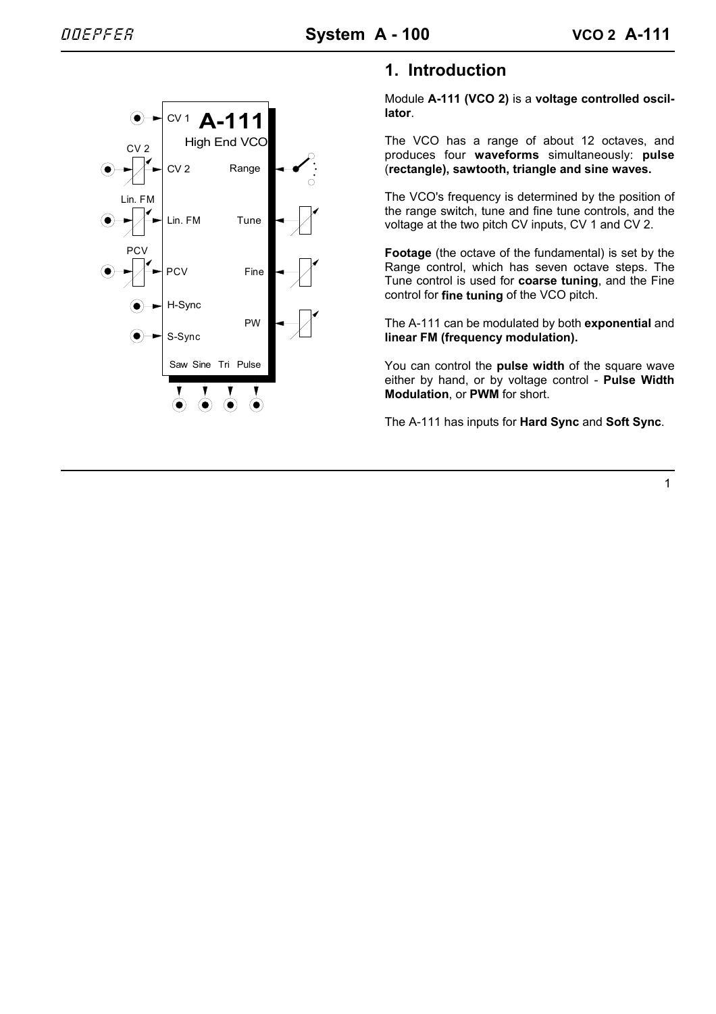

# **1. Introduction**

Module **A-111 (VCO 2)** is a **voltage controlled oscillator**.

The VCO has a range of about 12 octaves, and produces four **waveforms** simultaneously: **pulse** (**rectangle), sawtooth, triangle and sine waves.**

The VCO's frequency is determined by the position of the range switch, tune and fine tune controls, and the voltage at the two pitch CV inputs, CV 1 and CV 2.

**Footage** (the octave of the fundamental) is set by the Range control, which has seven octave steps. The Tune control is used for **coarse tuning**, and the Fine control for **fine tuning** of the VCO pitch.

The A-111 can be modulated by both **exponential** and **linear FM (frequency modulation).**

You can control the **pulse width** of the square wave either by hand, or by voltage control - **Pulse Width Modulation**, or **PWM** for short.

The A-111 has inputs for **Hard Sync** and **Soft Sync**.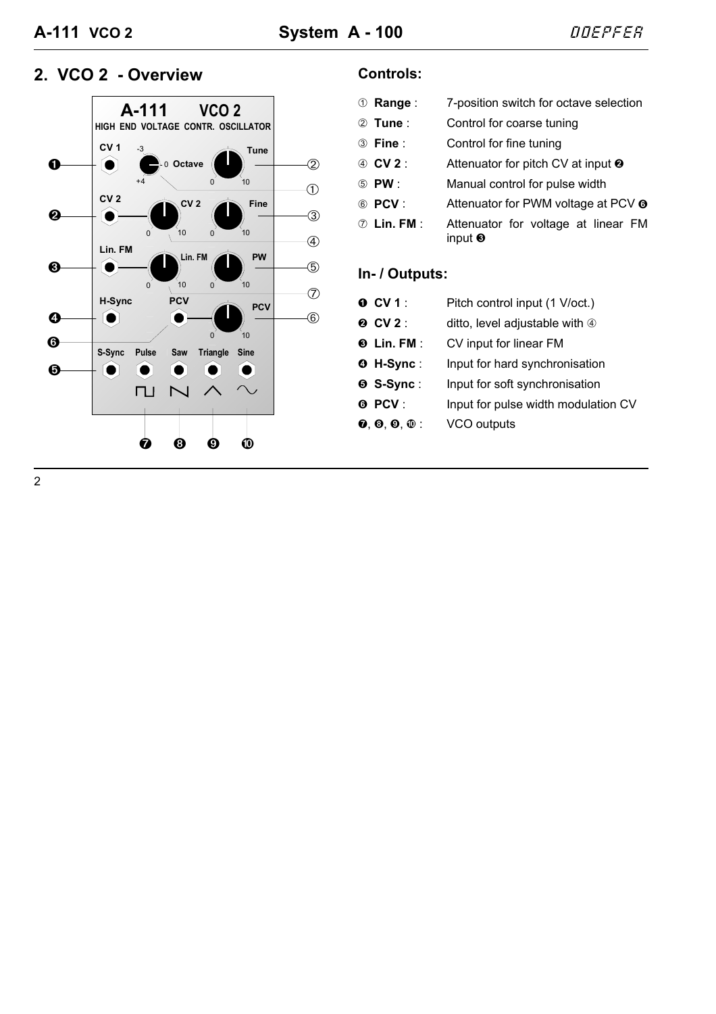# 2. VCO 2 - Overview **CONTING CONTA**



| <b>10 Range:</b>   | 7-position switch for octave selection                     |
|--------------------|------------------------------------------------------------|
| ② Tune:            | Control for coarse tuning                                  |
| <b>3</b> Fine:     | Control for fine tuning                                    |
| 4) CV 2 :          | Attenuator for pitch CV at input $\Theta$                  |
| (5) PW :           | Manual control for pulse width                             |
| 6 PCV:             | Attenuator for PWM voltage at PCV <sup>o</sup>             |
| <b>7</b> Lin. FM : | Attenuator for voltage at linear FM<br>input $\bm{\Theta}$ |

# **In- / Outputs:**

| $O$ CV 1 :        | Pitch control input (1 V/oct.)      |
|-------------------|-------------------------------------|
| <b>@ CV2:</b>     | ditto, level adjustable with 4      |
| $\odot$ Lin. FM : | CV input for linear FM              |
| <b>O</b> H-Sync:  | Input for hard synchronisation      |
| <b>O</b> S-Sync:  | Input for soft synchronisation      |
| <b>O</b> PCV:     | Input for pulse width modulation CV |
| $0, 0, 0, 0$ :    | VCO outputs                         |
|                   |                                     |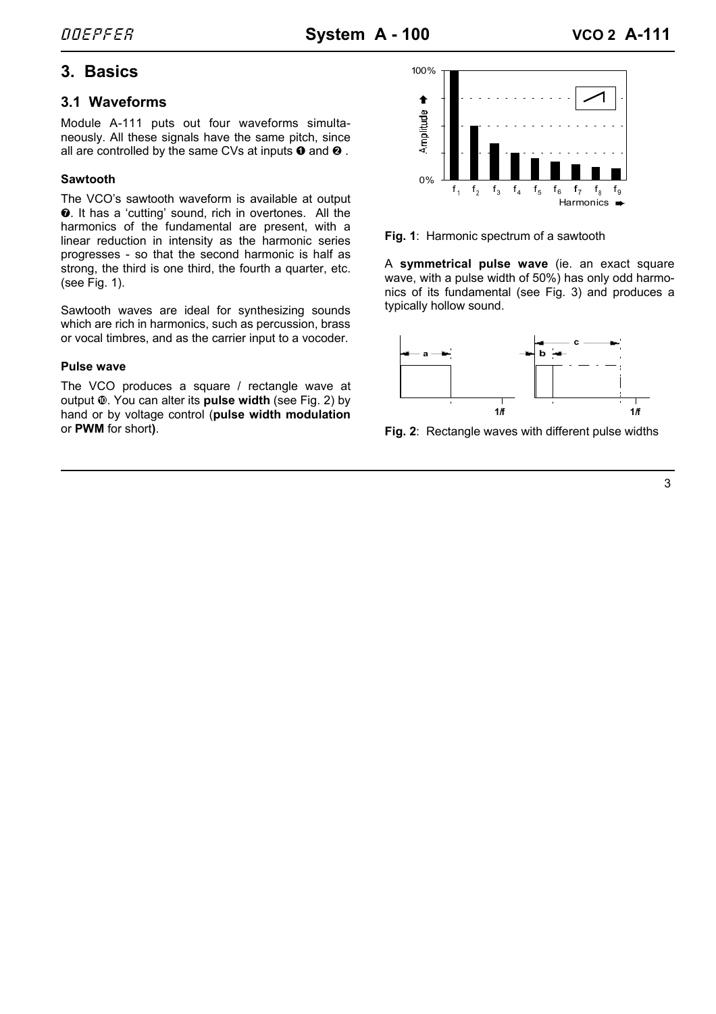# **3. Basics**

## **3.1 Waveforms**

Module A-111 puts out four waveforms simultaneously. All these signals have the same pitch, since all are controlled by the same CVs at inputs  $\boldsymbol{0}$  and  $\boldsymbol{0}$ .

## **Sawtooth**

The VCO's sawtooth waveform is available at output  $\odot$ . It has a 'cutting' sound, rich in overtones. All the harmonics of the fundamental are present, with a linear reduction in intensity as the harmonic series progresses - so that the second harmonic is half as strong, the third is one third, the fourth a quarter, etc. (see Fig. 1).

Sawtooth waves are ideal for synthesizing sounds which are rich in harmonics, such as percussion, brass or vocal timbres, and as the carrier input to a vocoder.

## **Pulse wave**

The VCO produces a square / rectangle wave at output  $\Phi$ . You can alter its **pulse width** (see Fig. 2) by hand or by voltage control (**pulse width modulation** or **PWM** for short**)**.





A **symmetrical pulse wave** (ie. an exact square wave, with a pulse width of 50%) has only odd harmonics of its fundamental (see Fig. 3) and produces a typically hollow sound.



**Fig. 2**: Rectangle waves with different pulse widths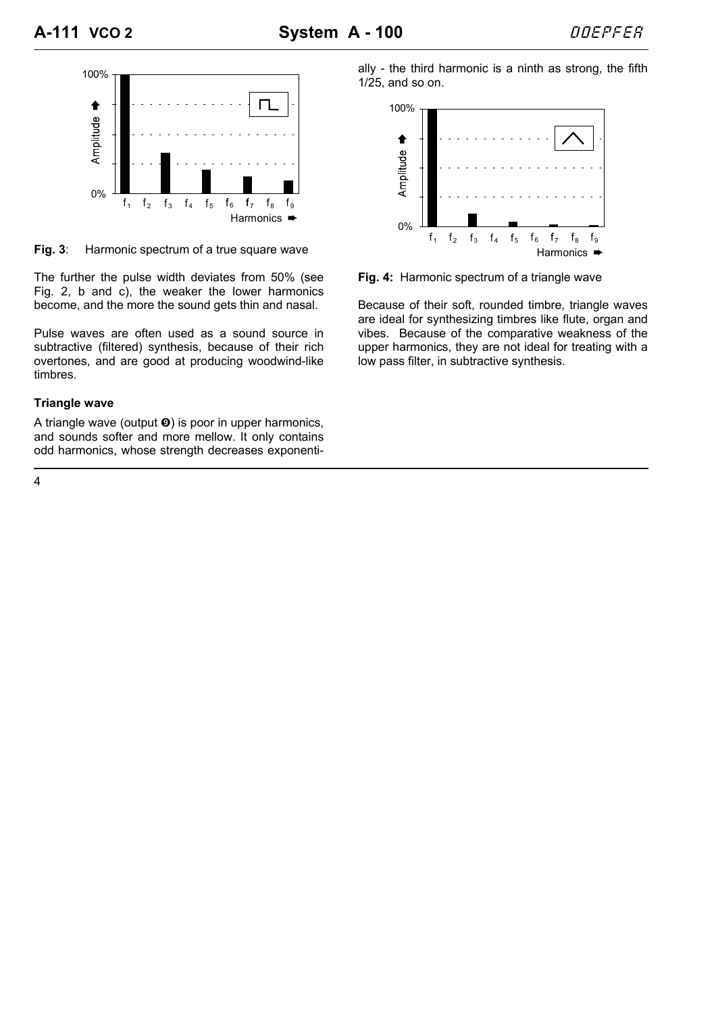

**Fig. 3**: Harmonic spectrum of a true square wave

The further the pulse width deviates from 50% (see Fig. 2, b and c), the weaker the lower harmonics become, and the more the sound gets thin and nasal.

Pulse waves are often used as a sound source in subtractive (filtered) synthesis, because of their rich overtones, and are good at producing woodwind-like timbres.

## **Triangle wave**

A triangle wave (output  $\odot$ ) is poor in upper harmonics, and sounds softer and more mellow. It only contains odd harmonics, whose strength decreases exponentially - the third harmonic is a ninth as strong, the fifth 1/25, and so on.



**Fig. 4:** Harmonic spectrum of a triangle wave

Because of their soft, rounded timbre, triangle waves are ideal for synthesizing timbres like flute, organ and vibes. Because of the comparative weakness of the upper harmonics, they are not ideal for treating with a low pass filter, in subtractive synthesis.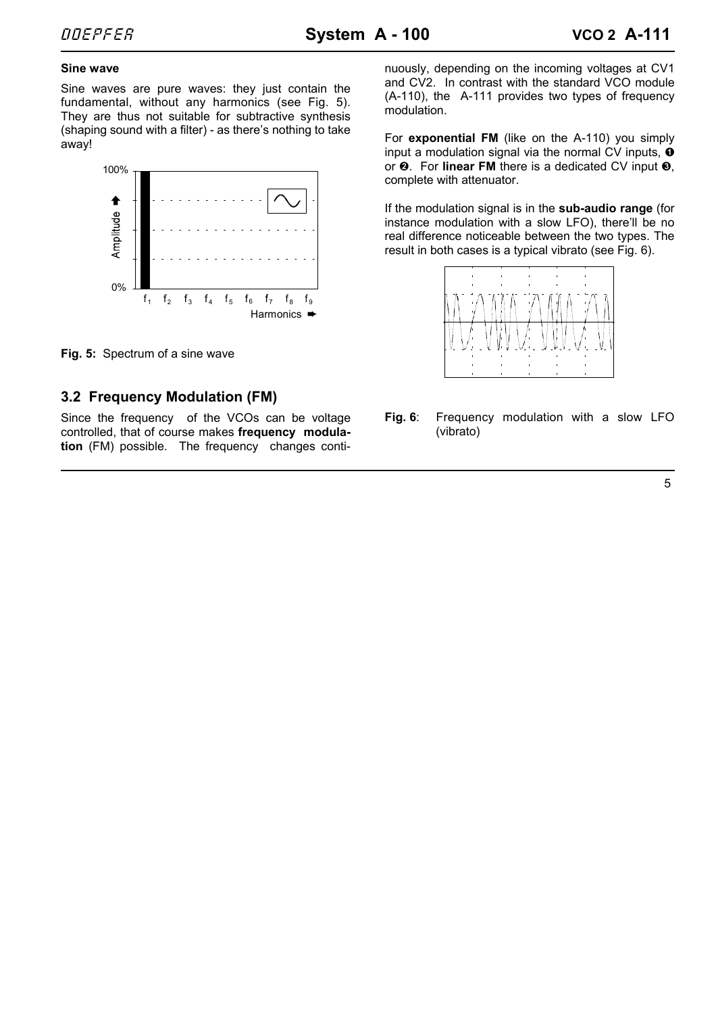#### **Sine wave**

Sine waves are pure waves: they just contain the fundamental, without any harmonics (see Fig. 5). They are thus not suitable for subtractive synthesis (shaping sound with a filter) - as there's nothing to take away!



**Fig. 5:** Spectrum of a sine wave

# **3.2 Frequency Modulation (FM)**

Since the frequency of the VCOs can be voltage controlled, that of course makes **frequency modulation** (FM) possible. The frequency changes continuously, depending on the incoming voltages at CV1 and CV2. In contrast with the standard VCO module (A-110), the A-111 provides two types of frequency modulation.

For **exponential FM** (like on the A-110) you simply input a modulation signal via the normal CV inputs,  $\bullet$ or  $\odot$ . For **linear FM** there is a dedicated CV input  $\odot$ , complete with attenuator.

If the modulation signal is in the **sub-audio range** (for instance modulation with a slow LFO), there'll be no real difference noticeable between the two types. The result in both cases is a typical vibrato (see Fig. 6).



**Fig. 6**: Frequency modulation with a slow LFO (vibrato)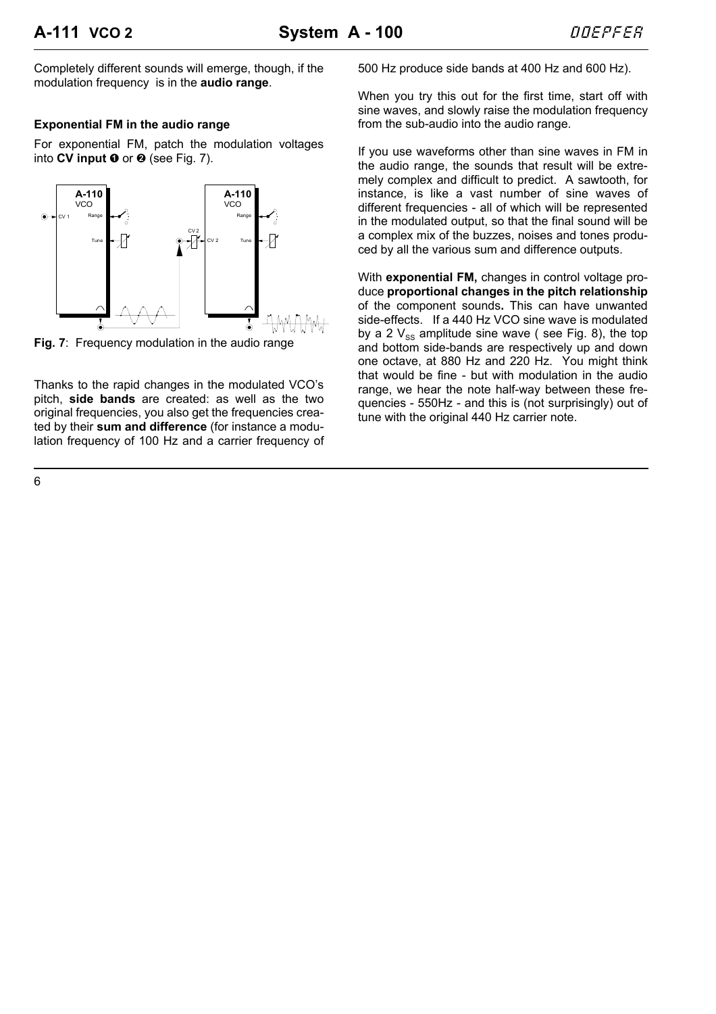Completely different sounds will emerge, though, if the modulation frequency is in the **audio range**.

#### **Exponential FM in the audio range**

For exponential FM, patch the modulation voltages into  $CV$  input  $①$  or  $②$  (see Fig. 7).



**Fig. 7**: Frequency modulation in the audio range

Thanks to the rapid changes in the modulated VCO's pitch, **side bands** are created: as well as the two original frequencies, you also get the frequencies created by their **sum and difference** (for instance a modulation frequency of 100 Hz and a carrier frequency of 500 Hz produce side bands at 400 Hz and 600 Hz).

When you try this out for the first time, start off with sine waves, and slowly raise the modulation frequency from the sub-audio into the audio range.

If you use waveforms other than sine waves in FM in the audio range, the sounds that result will be extremely complex and difficult to predict. A sawtooth, for instance, is like a vast number of sine waves of different frequencies - all of which will be represented in the modulated output, so that the final sound will be a complex mix of the buzzes, noises and tones produced by all the various sum and difference outputs.

With **exponential FM,** changes in control voltage produce **proportional changes in the pitch relationship** of the component sounds**.** This can have unwanted side-effects. If a 440 Hz VCO sine wave is modulated by a 2  $V_{ss}$  amplitude sine wave (see Fig. 8), the top and bottom side-bands are respectively up and down one octave, at 880 Hz and 220 Hz. You might think that would be fine - but with modulation in the audio range, we hear the note half-way between these frequencies - 550Hz - and this is (not surprisingly) out of tune with the original 440 Hz carrier note.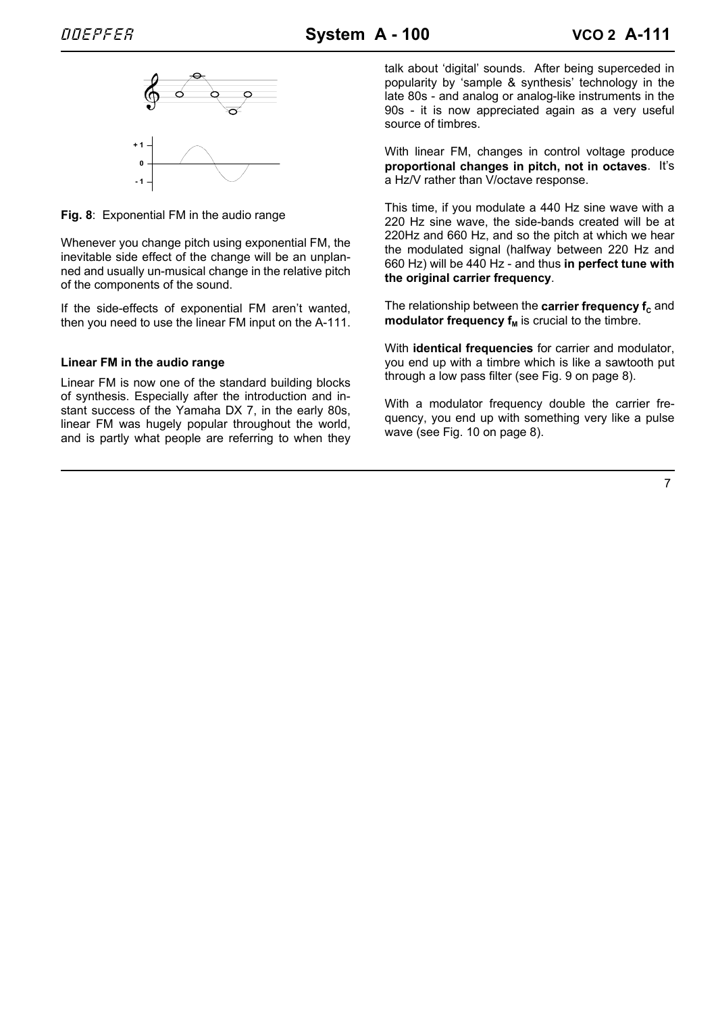

**Fig. 8**: Exponential FM in the audio range

Whenever you change pitch using exponential FM, the inevitable side effect of the change will be an unplanned and usually un-musical change in the relative pitch of the components of the sound.

If the side-effects of exponential FM aren't wanted, then you need to use the linear FM input on the A-111.

### **Linear FM in the audio range**

Linear FM is now one of the standard building blocks of synthesis. Especially after the introduction and instant success of the Yamaha DX 7, in the early 80s, linear FM was hugely popular throughout the world, and is partly what people are referring to when they talk about 'digital' sounds. After being superceded in popularity by 'sample & synthesis' technology in the late 80s - and analog or analog-like instruments in the 90s - it is now appreciated again as a very useful source of timbres.

With linear FM, changes in control voltage produce **proportional changes in pitch, not in octaves**. It's a Hz/V rather than V/octave response.

This time, if you modulate a 440 Hz sine wave with a 220 Hz sine wave, the side-bands created will be at 220Hz and 660 Hz, and so the pitch at which we hear the modulated signal (halfway between 220 Hz and 660 Hz) will be 440 Hz - and thus **in perfect tune with the original carrier frequency**.

The relationship between the **carrier frequency f**<sub>c</sub> and **modulator frequency**  $f_M$  **is crucial to the timbre.** 

With **identical frequencies** for carrier and modulator, you end up with a timbre which is like a sawtooth put through a low pass filter (see Fig. 9 on page 8).

With a modulator frequency double the carrier frequency, you end up with something very like a pulse wave (see Fig. 10 on page 8).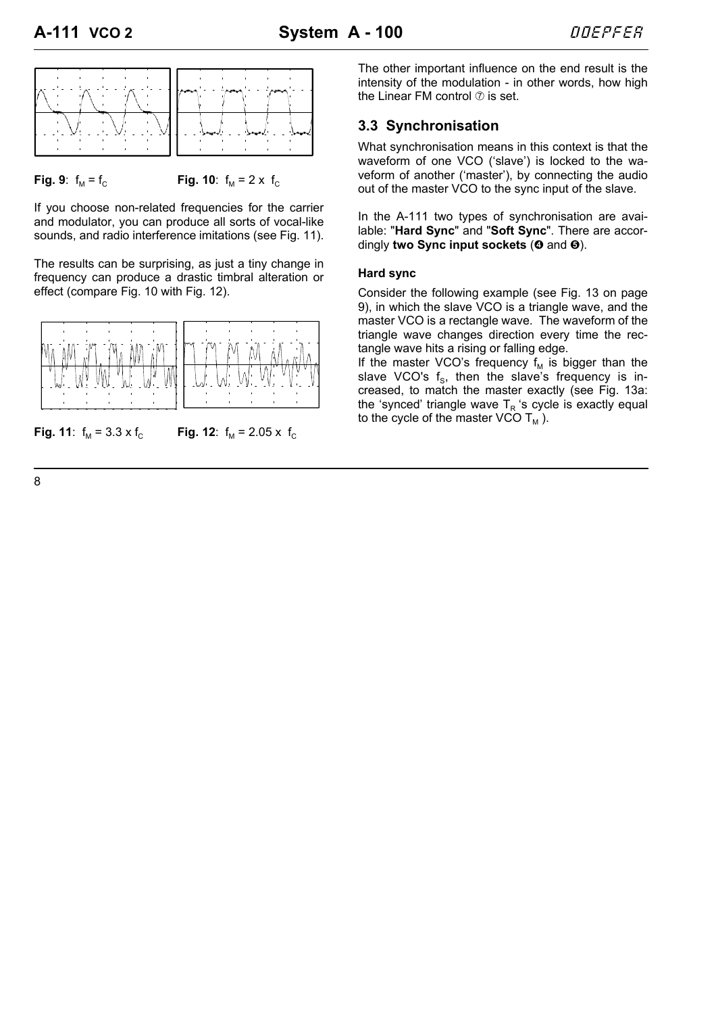

**Fig. 9**:  $f_M = f_C$  **Fig. 10**:  $f_M = 2 \times f_C$ 

If you choose non-related frequencies for the carrier and modulator, you can produce all sorts of vocal-like sounds, and radio interference imitations (see Fig. 11).

The results can be surprising, as just a tiny change in frequency can produce a drastic timbral alteration or effect (compare Fig. 10 with Fig. 12).



**Fig. 11**:  $f_M = 3.3 \times f_C$  **Fig. 12**:  $f_M = 2.05 \times f_C$ 

The other important influence on the end result is the intensity of the modulation - in other words, how high the Linear FM control  $\oslash$  is set.

## **3.3 Synchronisation**

What synchronisation means in this context is that the waveform of one VCO ('slave') is locked to the waveform of another ('master'), by connecting the audio out of the master VCO to the sync input of the slave.

In the A-111 two types of synchronisation are available: "**Hard Sync**" and "**Soft Sync**". There are accordingly **two Sync input sockets** ( $\odot$  and  $\odot$ ).

### **Hard sync**

Consider the following example (see Fig. 13 on page 9), in which the slave VCO is a triangle wave, and the master VCO is a rectangle wave. The waveform of the triangle wave changes direction every time the rectangle wave hits a rising or falling edge.

If the master VCO's frequency  $f_M$  is bigger than the slave VCO's  $f_s$ , then the slave's frequency is increased, to match the master exactly (see Fig. 13a: the 'synced' triangle wave  $T<sub>P</sub>$  's cycle is exactly equal to the cycle of the master VCO  $T_M$ ).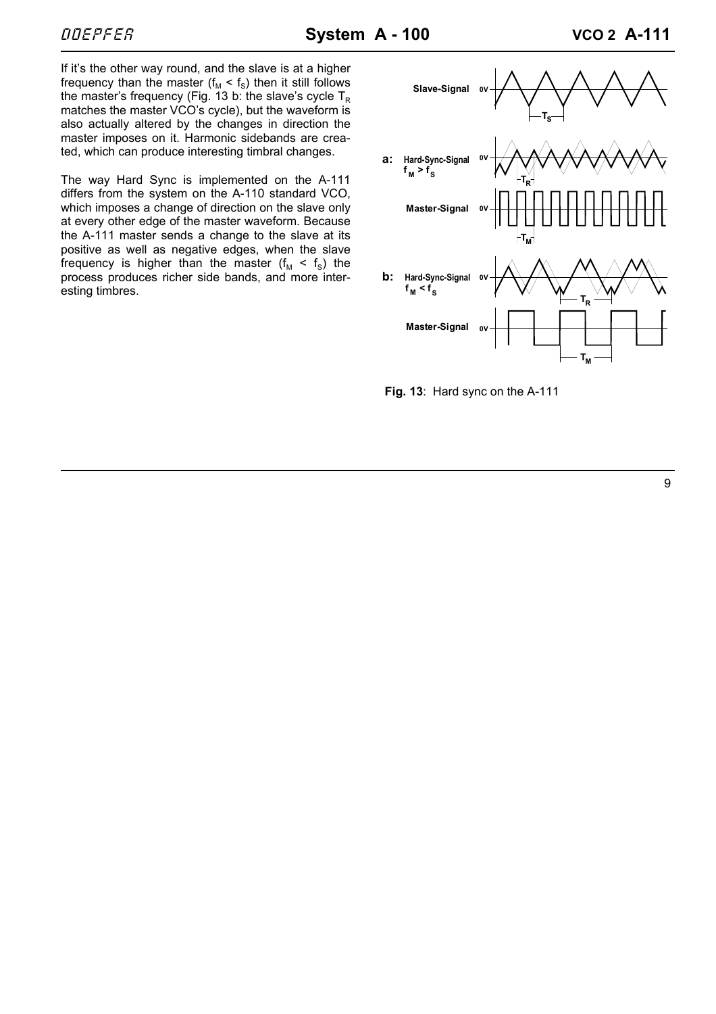If it's the other way round, and the slave is at a higher frequency than the master ( $f_M < f_S$ ) then it still follows the master's frequency (Fig. 13 b: the slave's cycle  $T_{\rm B}$ matches the master VCO's cycle), but the waveform is also actually altered by the changes in direction the master imposes on it. Harmonic sidebands are created, which can produce interesting timbral changes.

The way Hard Sync is implemented on the A-111 differs from the system on the A-110 standard VCO, which imposes a change of direction on the slave only at every other edge of the master waveform. Because the A-111 master sends a change to the slave at its positive as well as negative edges, when the slave frequency is higher than the master  $(f_M < f_S)$  the process produces richer side bands, and more interesting timbres.



**Fig. 13**: Hard sync on the A-111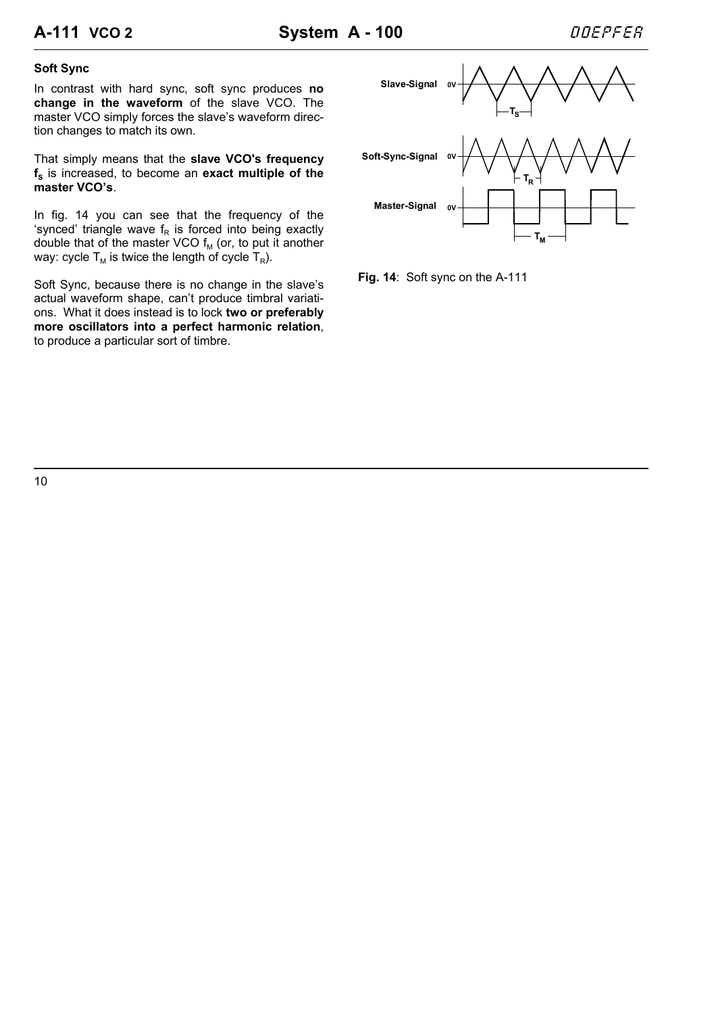## **Soft Sync**

In contrast with hard sync, soft sync produces **no change in the waveform** of the slave VCO. The master VCO simply forces the slave's waveform direction changes to match its own.

That simply means that the **slave VCO's frequency**  $f_s$  is increased, to become an **exact multiple of the master VCO's**.

In fig. 14 you can see that the frequency of the 'synced' triangle wave  $f_R$  is forced into being exactly double that of the master VCO  $f_M$  (or, to put it another way: cycle  $T_M$  is twice the length of cycle  $T_R$ ).

Soft Sync, because there is no change in the slave's actual waveform shape, can't produce timbral variations. What it does instead is to lock **two or preferably more oscillators into a perfect harmonic relation**, to produce a particular sort of timbre.



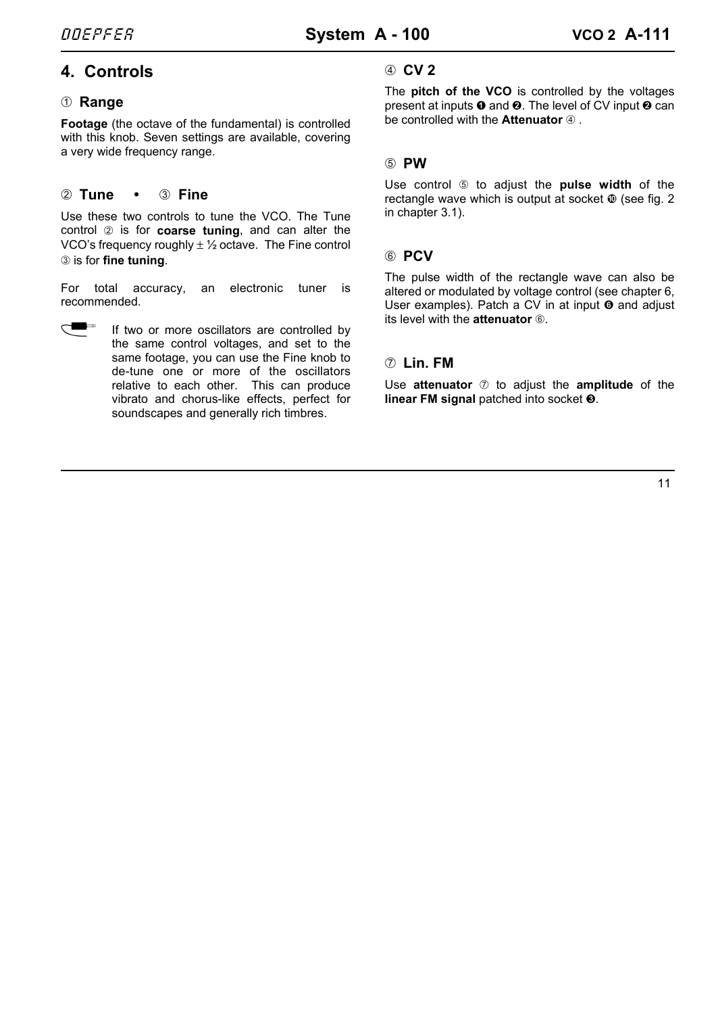# **4. Controls**

## 1 **Range**

**Footage** (the octave of the fundamental) is controlled with this knob. Seven settings are available, covering a very wide frequency range.

## 2 **Tune •** 3 **Fine**

Use these two controls to tune the VCO. The Tune control 2 is for **coarse tuning**, and can alter the VCO's frequency roughly  $\pm$  1/2 octave. The Fine control 3 is for **fine tuning**.

For total accuracy, an electronic tuner is recommended.

If two or more oscillators are controlled by the same control voltages, and set to the same footage, you can use the Fine knob to de-tune one or more of the oscillators relative to each other. This can produce vibrato and chorus-like effects, perfect for soundscapes and generally rich timbres.

# 4 **CV 2**

The **pitch of the VCO** is controlled by the voltages present at inputs  $\bullet$  and  $\bullet$ . The level of CV input  $\bullet$  can be controlled with the **Attenuator**  $\Phi$ .

# 5 **PW**

Use control 5 to adjust the **pulse width** of the rectangle wave which is output at socket  $\Phi$  (see fig. 2) in chapter 3.1).

# 6 **PCV**

The pulse width of the rectangle wave can also be altered or modulated by voltage control (see chapter 6, User examples). Patch a CV in at input  $\odot$  and adjust its level with the **attenuator** 6.

# 7 **Lin. FM**

Use **attenuator**  $\oslash$  to adjust the **amplitude** of the **linear FM signal** patched into socket **❸**.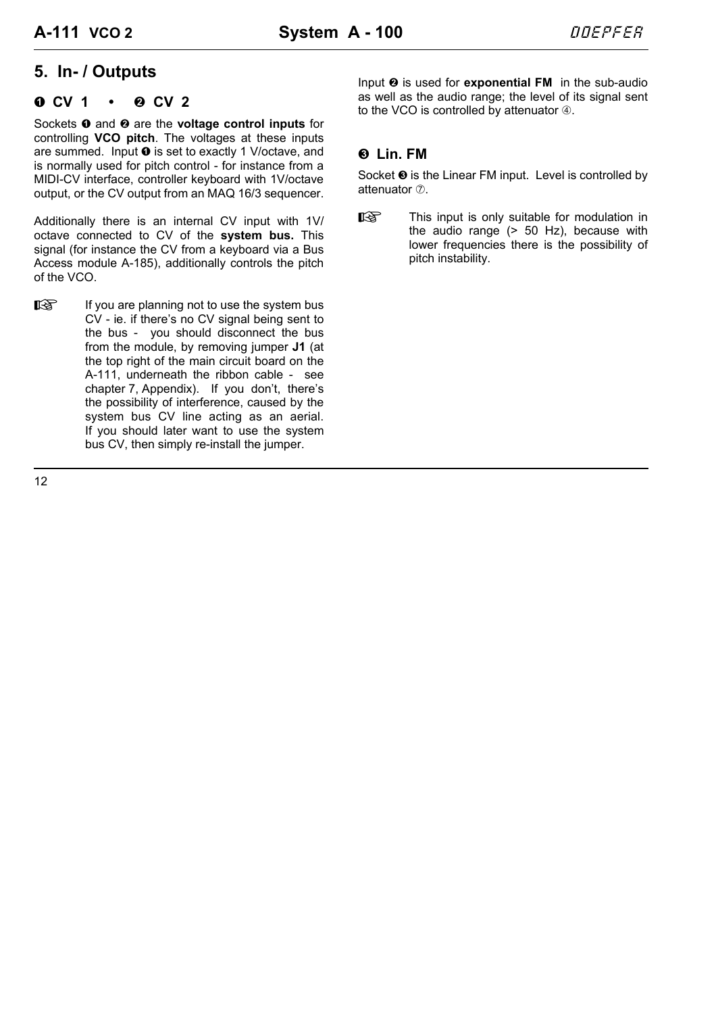# **5. In- / Outputs**

## **a** CV 1 • **a** CV 2

Sockets **0** and **0** are the **voltage control inputs** for controlling **VCO pitch**. The voltages at these inputs are summed. Input  $\bullet$  is set to exactly 1 V/octave, and is normally used for pitch control - for instance from a MIDI-CV interface, controller keyboard with 1V/octave output, or the CV output from an MAQ 16/3 sequencer.

Additionally there is an internal CV input with 1V/ octave connected to CV of the **system bus.** This signal (for instance the CV from a keyboard via a Bus Access module A-185), additionally controls the pitch of the VCO.

 $\mathbb{R}$  If you are planning not to use the system bus CV - ie. if there's no CV signal being sent to the bus - you should disconnect the bus from the module, by removing jumper **J1** (at the top right of the main circuit board on the A-111, underneath the ribbon cable - see chapter 7, Appendix). If you don't, there's the possibility of interference, caused by the system bus CV line acting as an aerial. If you should later want to use the system bus CV, then simply re-install the jumper.

Input  $\odot$  is used for **exponential FM** in the sub-audio as well as the audio range; the level of its signal sent to the VCO is controlled by attenuator  $@.$ 

# § **Lin. FM**

Socket  $\odot$  is the Linear FM input. Level is controlled by attenuator  $\oslash$ .

**H** This input is only suitable for modulation in the audio range (> 50 Hz), because with lower frequencies there is the possibility of pitch instability.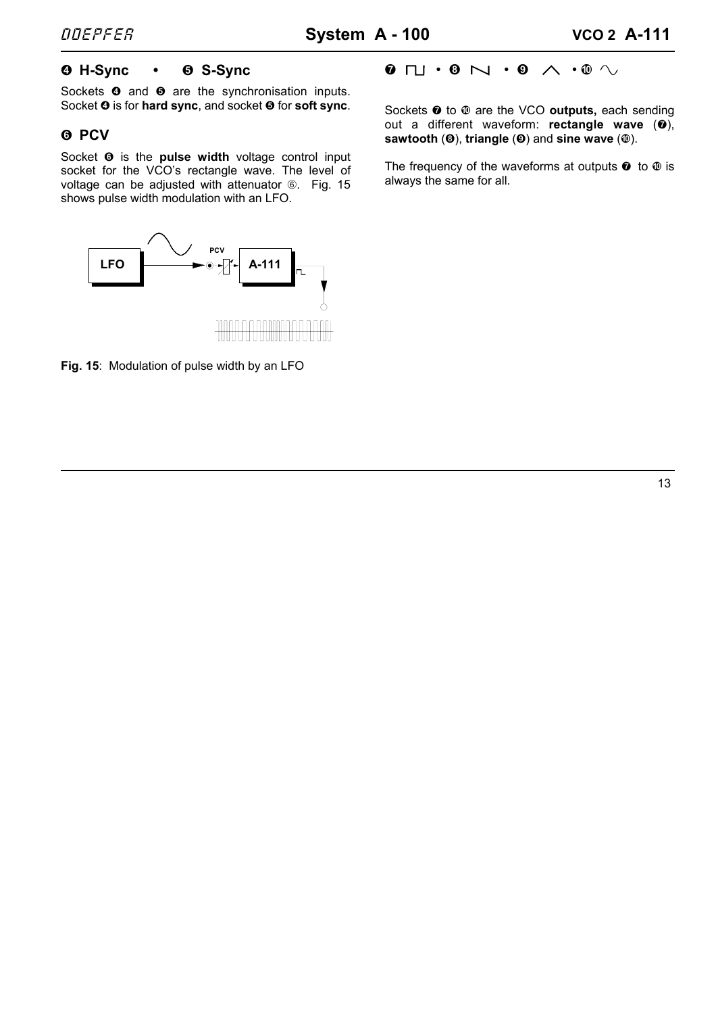# \$ **H-Sync •** % **S-Sync**

Sockets  $\bullet$  and  $\bullet$  are the synchronisation inputs. Socket  $\odot$  is for **hard sync**, and socket  $\odot$  for **soft sync**.

# & **PCV**

Socket  $\Theta$  is the **pulse width** voltage control input socket for the VCO's rectangle wave. The level of voltage can be adjusted with attenuator 6. Fig. 15 shows pulse width modulation with an LFO.

## $\mathbf{0}$   $\Box \cdot \mathbf{0}$   $\wedge \cdot \mathbf{0}$   $\wedge \cdot \mathbf{0}$   $\wedge$

Sockets  $\odot$  to  $\odot$  are the VCO outputs, each sending out a different waveform: **rectangle wave** ( $\odot$ ), **sawtooth** ( $\odot$ ), **triangle** ( $\odot$ ) and **sine wave** ( $\odot$ ).

The frequency of the waveforms at outputs  $\bullet$  to  $\bullet$  is always the same for all.



**Fig. 15**: Modulation of pulse width by an LFO